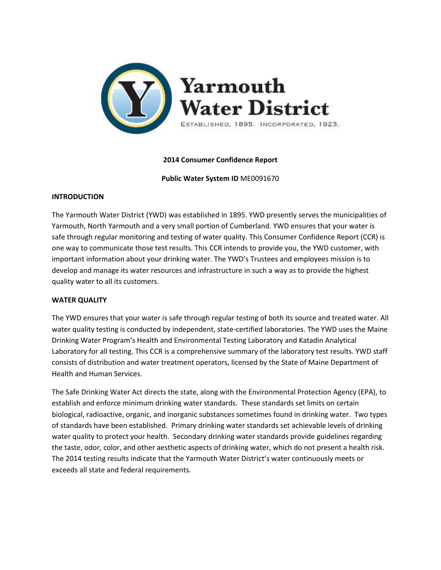

# **2014 Consumer Confidence Report**

**Public Water System ID** ME0091670

## **INTRODUCTION**

The Yarmouth Water District (YWD) was established in 1895. YWD presently serves the municipalities of Yarmouth, North Yarmouth and a very small portion of Cumberland. YWD ensures that your water is safe through regular monitoring and testing of water quality. This Consumer Confidence Report (CCR) is one way to communicate those test results. This CCR intends to provide you, the YWD customer, with important information about your drinking water. The YWD's Trustees and employees mission is to develop and manage its water resources and infrastructure in such a way as to provide the highest quality water to all its customers.

# **WATER QUALITY**

The YWD ensures that your water is safe through regular testing of both its source and treated water. All water quality testing is conducted by independent, state-certified laboratories. The YWD uses the Maine Drinking Water Program's Health and Environmental Testing Laboratory and Katadin Analytical Laboratory for all testing. This CCR is a comprehensive summary of the laboratory test results. YWD staff consists of distribution and water treatment operators, licensed by the State of Maine Department of Health and Human Services.

The Safe Drinking Water Act directs the state, along with the Environmental Protection Agency (EPA), to establish and enforce minimum drinking water standards. These standards set limits on certain biological, radioactive, organic, and inorganic substances sometimes found in drinking water. Two types of standards have been established. Primary drinking water standards set achievable levels of drinking water quality to protect your health. Secondary drinking water standards provide guidelines regarding the taste, odor, color, and other aesthetic aspects of drinking water, which do not present a health risk. The 2014 testing results indicate that the Yarmouth Water District's water continuously meets or exceeds all state and federal requirements.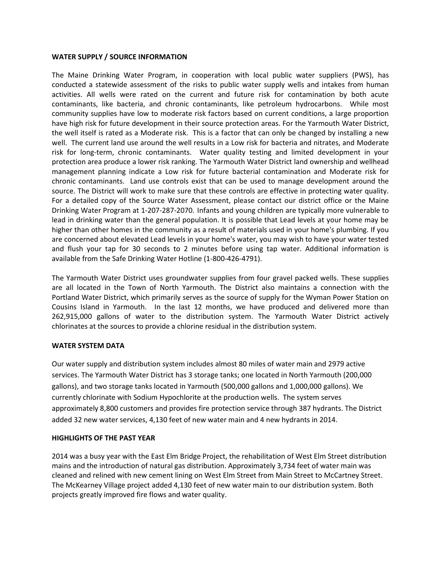## **WATER SUPPLY / SOURCE INFORMATION**

The Maine Drinking Water Program, in cooperation with local public water suppliers (PWS), has conducted a statewide assessment of the risks to public water supply wells and intakes from human activities. All wells were rated on the current and future risk for contamination by both acute contaminants, like bacteria, and chronic contaminants, like petroleum hydrocarbons. While most community supplies have low to moderate risk factors based on current conditions, a large proportion have high risk for future development in their source protection areas. For the Yarmouth Water District, the well itself is rated as a Moderate risk. This is a factor that can only be changed by installing a new well. The current land use around the well results in a Low risk for bacteria and nitrates, and Moderate risk for long-term, chronic contaminants. Water quality testing and limited development in your protection area produce a lower risk ranking. The Yarmouth Water District land ownership and wellhead management planning indicate a Low risk for future bacterial contamination and Moderate risk for chronic contaminants. Land use controls exist that can be used to manage development around the source. The District will work to make sure that these controls are effective in protecting water quality. For a detailed copy of the Source Water Assessment, please contact our district office or the Maine Drinking Water Program at 1-207-287-2070. Infants and young children are typically more vulnerable to lead in drinking water than the general population. It is possible that Lead levels at your home may be higher than other homes in the community as a result of materials used in your home's plumbing. If you are concerned about elevated Lead levels in your home's water, you may wish to have your water tested and flush your tap for 30 seconds to 2 minutes before using tap water. Additional information is available from the Safe Drinking Water Hotline (1-800-426-4791).

The Yarmouth Water District uses groundwater supplies from four gravel packed wells. These supplies are all located in the Town of North Yarmouth. The District also maintains a connection with the Portland Water District, which primarily serves as the source of supply for the Wyman Power Station on Cousins Island in Yarmouth. In the last 12 months, we have produced and delivered more than 262,915,000 gallons of water to the distribution system. The Yarmouth Water District actively chlorinates at the sources to provide a chlorine residual in the distribution system.

## **WATER SYSTEM DATA**

Our water supply and distribution system includes almost 80 miles of water main and 2979 active services. The Yarmouth Water District has 3 storage tanks; one located in North Yarmouth (200,000 gallons), and two storage tanks located in Yarmouth (500,000 gallons and 1,000,000 gallons). We currently chlorinate with Sodium Hypochlorite at the production wells. The system serves approximately 8,800 customers and provides fire protection service through 387 hydrants. The District added 32 new water services, 4,130 feet of new water main and 4 new hydrants in 2014.

## **HIGHLIGHTS OF THE PAST YEAR**

2014 was a busy year with the East Elm Bridge Project, the rehabilitation of West Elm Street distribution mains and the introduction of natural gas distribution. Approximately 3,734 feet of water main was cleaned and relined with new cement lining on West Elm Street from Main Street to McCartney Street. The McKearney Village project added 4,130 feet of new water main to our distribution system. Both projects greatly improved fire flows and water quality.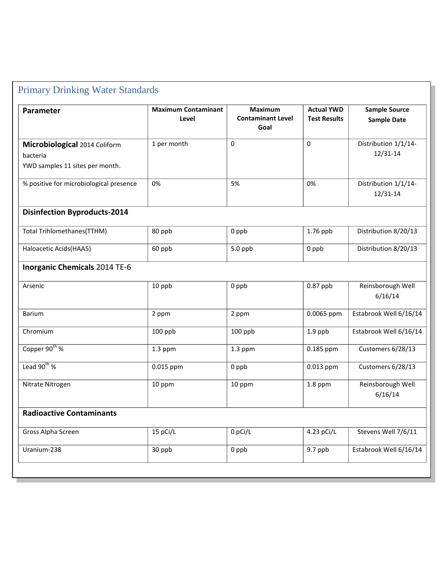| Parameter                                                                    | <b>Maximum Contaminant</b><br>Level | <b>Maximum</b><br><b>Contaminant Level</b><br>Goal | <b>Actual YWD</b><br><b>Test Results</b> | <b>Sample Source</b><br><b>Sample Date</b> |
|------------------------------------------------------------------------------|-------------------------------------|----------------------------------------------------|------------------------------------------|--------------------------------------------|
| Microbiological 2014 Coliform<br>bacteria<br>YWD samples 11 sites per month. | 1 per month                         | $\Omega$                                           | $\Omega$                                 | Distribution 1/1/14-<br>12/31-14           |
| % positive for microbiological presence                                      | 0%                                  | 5%                                                 | 0%                                       | Distribution 1/1/14-<br>12/31-14           |
| <b>Disinfection Byproducts-2014</b>                                          |                                     |                                                    |                                          |                                            |
| Total Trihlomethanes(TTHM)                                                   | 80 ppb                              | 0 ppb                                              | 1.76 ppb                                 | Distribution 8/20/13                       |
| Haloacetic Acids(HAA5)                                                       | 60 ppb                              | $5.0$ ppb                                          | 0 ppb                                    | Distribution 8/20/13                       |
| <b>Inorganic Chemicals 2014 TE-6</b>                                         |                                     |                                                    |                                          |                                            |
| Arsenic                                                                      | 10 ppb                              | 0 ppb                                              | 0.87 ppb                                 | Reinsborough Well<br>6/16/14               |
| <b>Barium</b>                                                                | 2 ppm                               | 2 ppm                                              | 0.0065 ppm                               | Estabrook Well 6/16/14                     |
| Chromium                                                                     | 100 ppb                             | 100 ppb                                            | $1.9$ ppb                                | Estabrook Well 6/16/14                     |
| Copper $90^{th}$ %                                                           | $1.3$ ppm                           | 1.3 ppm                                            | 0.185 ppm                                | Customers 6/28/13                          |
| Lead $90^{th}$ %                                                             | 0.015 ppm                           | 0 ppb                                              | 0.013 ppm                                | Customers 6/28/13                          |
| Nitrate Nitrogen                                                             | 10 ppm                              | 10 ppm                                             | 1.8 ppm                                  | Reinsborough Well<br>6/16/14               |
| <b>Radioactive Contaminants</b>                                              |                                     |                                                    |                                          |                                            |
| Gross Alpha Screen                                                           | 15 pCi/L                            | 0 pCi/L                                            | 4.23 pCi/L                               | Stevens Well 7/6/11                        |
| Uranium-238                                                                  | 30 ppb                              | 0 ppb                                              | $9.7$ ppb                                | Estabrook Well 6/16/14                     |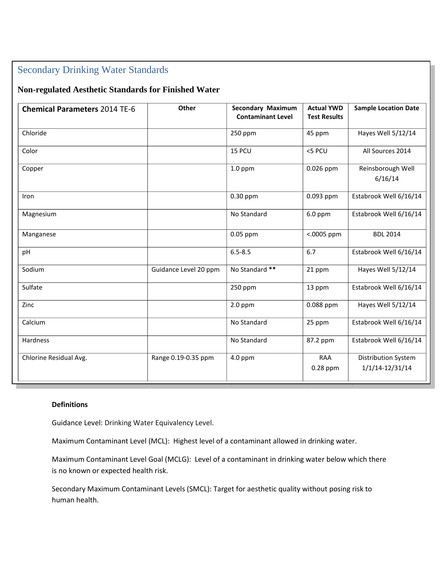# Secondary Drinking Water Standards

# **Non-regulated Aesthetic Standards for Finished Water**

| <b>Chemical Parameters 2014 TE-6</b> | Other                 | <b>Secondary Maximum</b><br><b>Contaminant Level</b> | <b>Actual YWD</b><br><b>Test Results</b> | <b>Sample Location Date</b>                       |
|--------------------------------------|-----------------------|------------------------------------------------------|------------------------------------------|---------------------------------------------------|
| Chloride                             |                       | 250 ppm                                              | 45 ppm                                   | Hayes Well 5/12/14                                |
| Color                                |                       | 15 PCU                                               | <5 PCU                                   | All Sources 2014                                  |
| Copper                               |                       | $1.0$ ppm                                            | $0.026$ ppm                              | Reinsborough Well<br>6/16/14                      |
| Iron                                 |                       | $0.30$ ppm                                           | 0.093 ppm                                | Estabrook Well 6/16/14                            |
| Magnesium                            |                       | No Standard                                          | $6.0$ ppm                                | Estabrook Well 6/16/14                            |
| Manganese                            |                       | $0.05$ ppm                                           | <.0005 ppm                               | <b>BDL 2014</b>                                   |
| pH                                   |                       | $6.5 - 8.5$                                          | 6.7                                      | Estabrook Well 6/16/14                            |
| Sodium                               | Guidance Level 20 ppm | No Standard **                                       | 21 ppm                                   | Hayes Well 5/12/14                                |
| Sulfate                              |                       | 250 ppm                                              | 13 ppm                                   | Estabrook Well 6/16/14                            |
| Zinc                                 |                       | $2.0$ ppm                                            | 0.088 ppm                                | Hayes Well 5/12/14                                |
| Calcium                              |                       | No Standard                                          | 25 ppm                                   | Estabrook Well 6/16/14                            |
| Hardness                             |                       | No Standard                                          | 87.2 ppm                                 | Estabrook Well 6/16/14                            |
| Chlorine Residual Avg.               | Range 0.19-0.35 ppm   | 4.0 ppm                                              | <b>RAA</b><br>$0.28$ ppm                 | <b>Distribution System</b><br>$1/1/14 - 12/31/14$ |

# **Definitions**

Guidance Level: Drinking Water Equivalency Level.

Maximum Contaminant Level (MCL): Highest level of a contaminant allowed in drinking water.

Maximum Contaminant Level Goal (MCLG): Level of a contaminant in drinking water below which there is no known or expected health risk.

Secondary Maximum Contaminant Levels (SMCL): Target for aesthetic quality without posing risk to human health.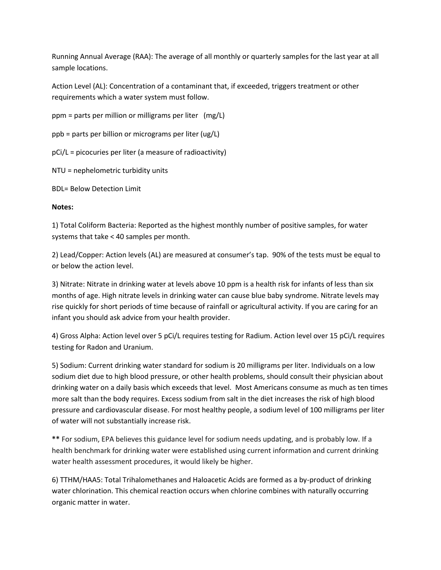Running Annual Average (RAA): The average of all monthly or quarterly samples for the last year at all sample locations.

Action Level (AL): Concentration of a contaminant that, if exceeded, triggers treatment or other requirements which a water system must follow.

ppm = parts per million or milligrams per liter (mg/L)

ppb = parts per billion or micrograms per liter (ug/L)

pCi/L = picocuries per liter (a measure of radioactivity)

NTU = nephelometric turbidity units

BDL= Below Detection Limit

# **Notes:**

1) Total Coliform Bacteria: Reported as the highest monthly number of positive samples, for water systems that take < 40 samples per month.

2) Lead/Copper: Action levels (AL) are measured at consumer's tap. 90% of the tests must be equal to or below the action level.

3) Nitrate: Nitrate in drinking water at levels above 10 ppm is a health risk for infants of less than six months of age. High nitrate levels in drinking water can cause blue baby syndrome. Nitrate levels may rise quickly for short periods of time because of rainfall or agricultural activity. If you are caring for an infant you should ask advice from your health provider.

4) Gross Alpha: Action level over 5 pCi/L requires testing for Radium. Action level over 15 pCi/L requires testing for Radon and Uranium.

5) Sodium: Current drinking water standard for sodium is 20 milligrams per liter. Individuals on a low sodium diet due to high blood pressure, or other health problems, should consult their physician about drinking water on a daily basis which exceeds that level. Most Americans consume as much as ten times more salt than the body requires. Excess sodium from salt in the diet increases the risk of high blood pressure and cardiovascular disease. For most healthy people, a sodium level of 100 milligrams per liter of water will not substantially increase risk.

**\*\*** For sodium, EPA believes this guidance level for sodium needs updating, and is probably low. If a health benchmark for drinking water were established using current information and current drinking water health assessment procedures, it would likely be higher.

6) TTHM/HAA5: Total Trihalomethanes and Haloacetic Acids are formed as a by-product of drinking water chlorination. This chemical reaction occurs when chlorine combines with naturally occurring organic matter in water.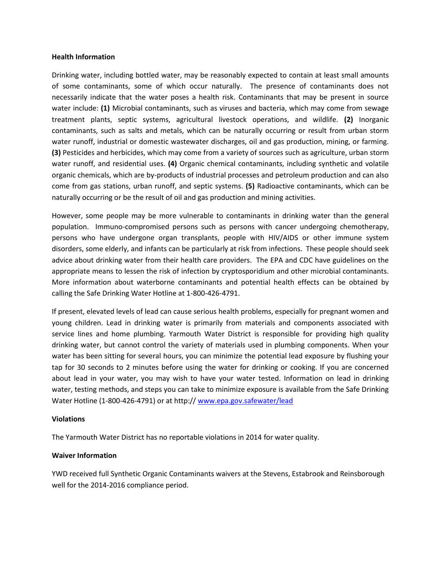#### **Health Information**

Drinking water, including bottled water, may be reasonably expected to contain at least small amounts of some contaminants, some of which occur naturally. The presence of contaminants does not necessarily indicate that the water poses a health risk. Contaminants that may be present in source water include: **(1)** Microbial contaminants, such as viruses and bacteria, which may come from sewage treatment plants, septic systems, agricultural livestock operations, and wildlife. **(2)** Inorganic contaminants, such as salts and metals, which can be naturally occurring or result from urban storm water runoff, industrial or domestic wastewater discharges, oil and gas production, mining, or farming. **(3)** Pesticides and herbicides, which may come from a variety of sources such as agriculture, urban storm water runoff, and residential uses. **(4)** Organic chemical contaminants, including synthetic and volatile organic chemicals, which are by-products of industrial processes and petroleum production and can also come from gas stations, urban runoff, and septic systems. **(5)** Radioactive contaminants, which can be naturally occurring or be the result of oil and gas production and mining activities.

However, some people may be more vulnerable to contaminants in drinking water than the general population. Immuno-compromised persons such as persons with cancer undergoing chemotherapy, persons who have undergone organ transplants, people with HIV/AIDS or other immune system disorders, some elderly, and infants can be particularly at risk from infections. These people should seek advice about drinking water from their health care providers. The EPA and CDC have guidelines on the appropriate means to lessen the risk of infection by cryptosporidium and other microbial contaminants. More information about waterborne contaminants and potential health effects can be obtained by calling the Safe Drinking Water Hotline at 1-800-426-4791.

If present, elevated levels of lead can cause serious health problems, especially for pregnant women and young children. Lead in drinking water is primarily from materials and components associated with service lines and home plumbing. Yarmouth Water District is responsible for providing high quality drinking water, but cannot control the variety of materials used in plumbing components. When your water has been sitting for several hours, you can minimize the potential lead exposure by flushing your tap for 30 seconds to 2 minutes before using the water for drinking or cooking. If you are concerned about lead in your water, you may wish to have your water tested. Information on lead in drinking water, testing methods, and steps you can take to minimize exposure is available from the Safe Drinking Water Hotline (1-800-426-4791) or at http:/[/ www.epa.gov.safewater/lead](http://www.epa.gov.safewater/lead)

## **Violations**

The Yarmouth Water District has no reportable violations in 2014 for water quality.

## **Waiver Information**

YWD received full Synthetic Organic Contaminants waivers at the Stevens, Estabrook and Reinsborough well for the 2014-2016 compliance period.